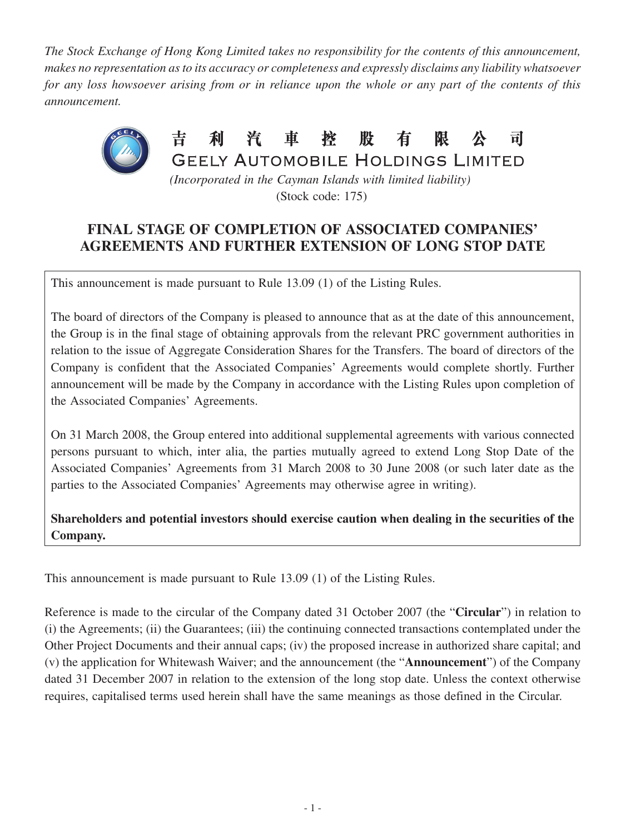*The Stock Exchange of Hong Kong Limited takes no responsibility for the contents of this announcement, makes no representation as to its accuracy or completeness and expressly disclaims any liability whatsoever for any loss howsoever arising from or in reliance upon the whole or any part of the contents of this announcement.*



(Stock code: 175)

## **FINAL STAGE OF COMPLETION OF ASSOCIATED COMPANIES' AGREEMENTS AND FURTHER EXTENSION OF LONG STOP DATE**

This announcement is made pursuant to Rule 13.09 (1) of the Listing Rules.

The board of directors of the Company is pleased to announce that as at the date of this announcement, the Group is in the final stage of obtaining approvals from the relevant PRC government authorities in relation to the issue of Aggregate Consideration Shares for the Transfers. The board of directors of the Company is confident that the Associated Companies' Agreements would complete shortly. Further announcement will be made by the Company in accordance with the Listing Rules upon completion of the Associated Companies' Agreements.

On 31 March 2008, the Group entered into additional supplemental agreements with various connected persons pursuant to which, inter alia, the parties mutually agreed to extend Long Stop Date of the Associated Companies' Agreements from 31 March 2008 to 30 June 2008 (or such later date as the parties to the Associated Companies' Agreements may otherwise agree in writing).

**Shareholders and potential investors should exercise caution when dealing in the securities of the Company.**

This announcement is made pursuant to Rule 13.09 (1) of the Listing Rules.

Reference is made to the circular of the Company dated 31 October 2007 (the "**Circular**") in relation to (i) the Agreements; (ii) the Guarantees; (iii) the continuing connected transactions contemplated under the Other Project Documents and their annual caps; (iv) the proposed increase in authorized share capital; and (v) the application for Whitewash Waiver; and the announcement (the "**Announcement**") of the Company dated 31 December 2007 in relation to the extension of the long stop date. Unless the context otherwise requires, capitalised terms used herein shall have the same meanings as those defined in the Circular.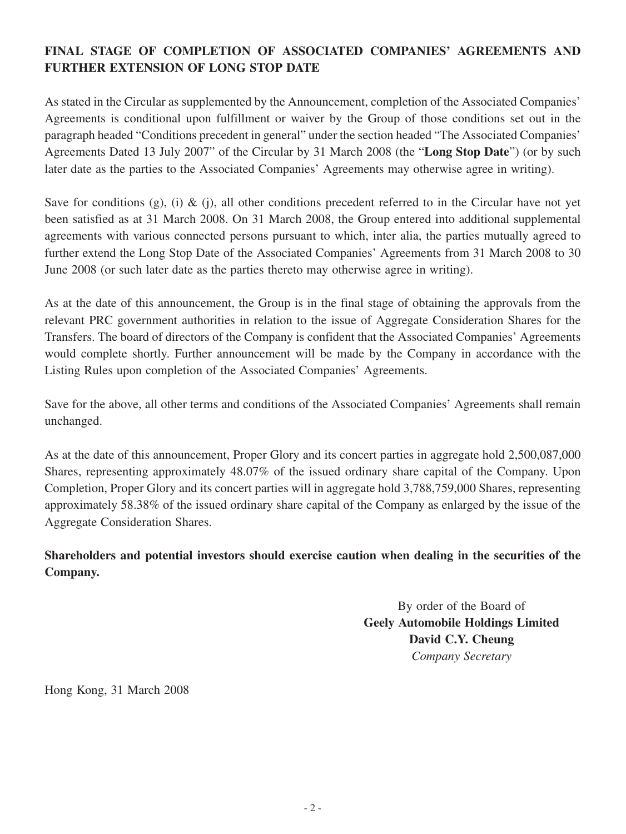## **FINAL STAGE OF COMPLETION OF ASSOCIATED COMPANIES' AGREEMENTS AND FURTHER EXTENSION OF LONG STOP DATE**

As stated in the Circular as supplemented by the Announcement, completion of the Associated Companies' Agreements is conditional upon fulfillment or waiver by the Group of those conditions set out in the paragraph headed "Conditions precedent in general" under the section headed "The Associated Companies' Agreements Dated 13 July 2007" of the Circular by 31 March 2008 (the "**Long Stop Date**") (or by such later date as the parties to the Associated Companies' Agreements may otherwise agree in writing).

Save for conditions (g), (i) & (j), all other conditions precedent referred to in the Circular have not yet been satisfied as at 31 March 2008. On 31 March 2008, the Group entered into additional supplemental agreements with various connected persons pursuant to which, inter alia, the parties mutually agreed to further extend the Long Stop Date of the Associated Companies' Agreements from 31 March 2008 to 30 June 2008 (or such later date as the parties thereto may otherwise agree in writing).

As at the date of this announcement, the Group is in the final stage of obtaining the approvals from the relevant PRC government authorities in relation to the issue of Aggregate Consideration Shares for the Transfers. The board of directors of the Company is confident that the Associated Companies' Agreements would complete shortly. Further announcement will be made by the Company in accordance with the Listing Rules upon completion of the Associated Companies' Agreements.

Save for the above, all other terms and conditions of the Associated Companies' Agreements shall remain unchanged.

As at the date of this announcement, Proper Glory and its concert parties in aggregate hold 2,500,087,000 Shares, representing approximately 48.07% of the issued ordinary share capital of the Company. Upon Completion, Proper Glory and its concert parties will in aggregate hold 3,788,759,000 Shares, representing approximately 58.38% of the issued ordinary share capital of the Company as enlarged by the issue of the Aggregate Consideration Shares.

**Shareholders and potential investors should exercise caution when dealing in the securities of the Company.**

> By order of the Board of **Geely Automobile Holdings Limited David C.Y. Cheung** *Company Secretary*

Hong Kong, 31 March 2008